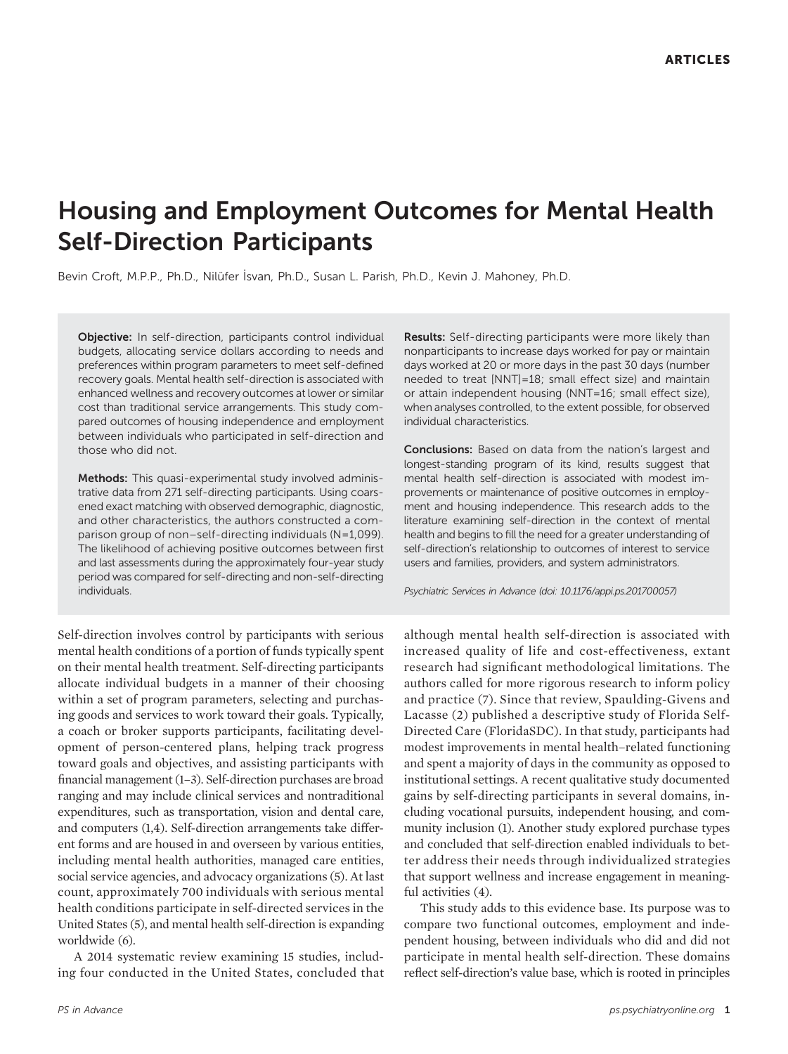# Housing and Employment Outcomes for Mental Health Self-Direction Participants

Bevin Croft, M.P.P., Ph.D., Nilüfer İsvan, Ph.D., Susan L. Parish, Ph.D., Kevin J. Mahoney, Ph.D.

Objective: In self-direction, participants control individual budgets, allocating service dollars according to needs and preferences within program parameters to meet self-defined recovery goals. Mental health self-direction is associated with enhanced wellness and recovery outcomes at lower or similar cost than traditional service arrangements. This study compared outcomes of housing independence and employment between individuals who participated in self-direction and those who did not.

Methods: This quasi-experimental study involved administrative data from 271 self-directing participants. Using coarsened exact matching with observed demographic, diagnostic, and other characteristics, the authors constructed a comparison group of non–self-directing individuals (N=1,099). The likelihood of achieving positive outcomes between first and last assessments during the approximately four-year study period was compared for self-directing and non-self-directing individuals.

Self-direction involves control by participants with serious mental health conditions of a portion of funds typically spent on their mental health treatment. Self-directing participants allocate individual budgets in a manner of their choosing within a set of program parameters, selecting and purchasing goods and services to work toward their goals. Typically, a coach or broker supports participants, facilitating development of person-centered plans, helping track progress toward goals and objectives, and assisting participants with financial management (1–3). Self-direction purchases are broad ranging and may include clinical services and nontraditional expenditures, such as transportation, vision and dental care, and computers (1,4). Self-direction arrangements take different forms and are housed in and overseen by various entities, including mental health authorities, managed care entities, social service agencies, and advocacy organizations (5). At last count, approximately 700 individuals with serious mental health conditions participate in self-directed services in the United States (5), and mental health self-direction is expanding worldwide (6).

A 2014 systematic review examining 15 studies, including four conducted in the United States, concluded that

Results: Self-directing participants were more likely than nonparticipants to increase days worked for pay or maintain days worked at 20 or more days in the past 30 days (number needed to treat [NNT]=18; small effect size) and maintain or attain independent housing (NNT=16; small effect size), when analyses controlled, to the extent possible, for observed individual characteristics.

Conclusions: Based on data from the nation's largest and longest-standing program of its kind, results suggest that mental health self-direction is associated with modest improvements or maintenance of positive outcomes in employment and housing independence. This research adds to the literature examining self-direction in the context of mental health and begins to fill the need for a greater understanding of self-direction's relationship to outcomes of interest to service users and families, providers, and system administrators.

Psychiatric Services in Advance (doi: 10.1176/appi.ps.201700057)

although mental health self-direction is associated with increased quality of life and cost-effectiveness, extant research had significant methodological limitations. The authors called for more rigorous research to inform policy and practice (7). Since that review, Spaulding-Givens and Lacasse (2) published a descriptive study of Florida Self-Directed Care (FloridaSDC). In that study, participants had modest improvements in mental health–related functioning and spent a majority of days in the community as opposed to institutional settings. A recent qualitative study documented gains by self-directing participants in several domains, including vocational pursuits, independent housing, and community inclusion (1). Another study explored purchase types and concluded that self-direction enabled individuals to better address their needs through individualized strategies that support wellness and increase engagement in meaningful activities (4).

This study adds to this evidence base. Its purpose was to compare two functional outcomes, employment and independent housing, between individuals who did and did not participate in mental health self-direction. These domains reflect self-direction's value base, which is rooted in principles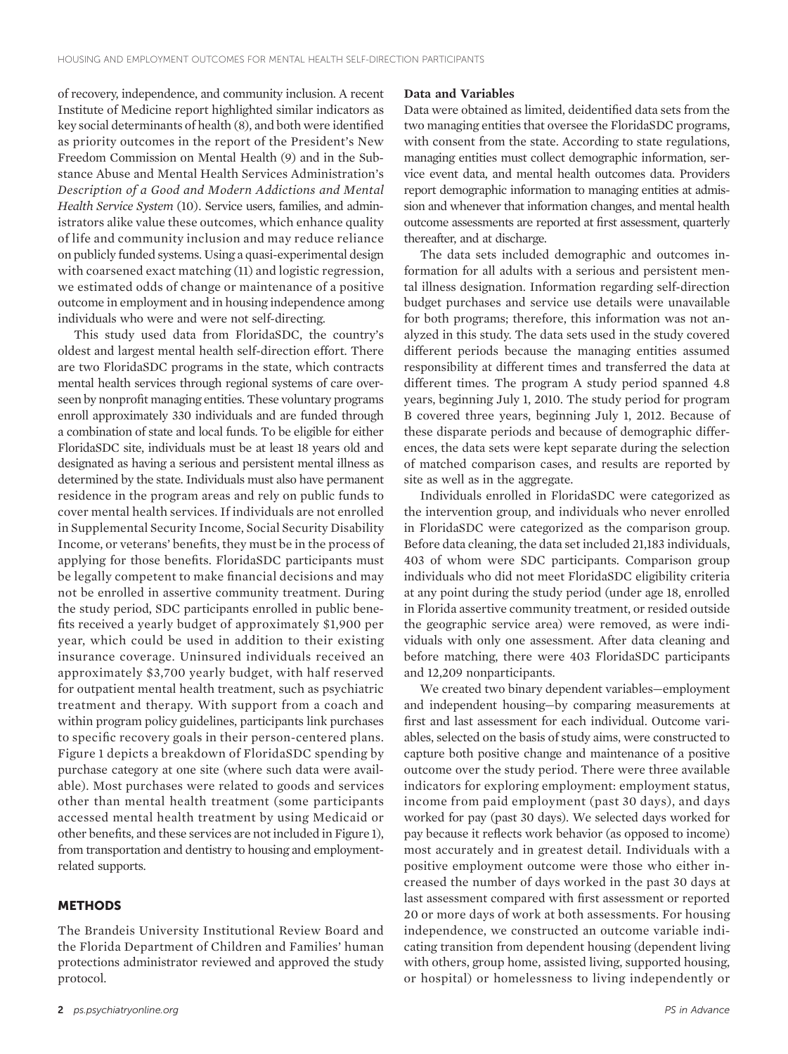of recovery, independence, and community inclusion. A recent Institute of Medicine report highlighted similar indicators as key social determinants of health (8), and both were identified as priority outcomes in the report of the President's New Freedom Commission on Mental Health (9) and in the Substance Abuse and Mental Health Services Administration's Description of a Good and Modern Addictions and Mental Health Service System (10). Service users, families, and administrators alike value these outcomes, which enhance quality of life and community inclusion and may reduce reliance on publicly funded systems. Using a quasi-experimental design with coarsened exact matching (11) and logistic regression, we estimated odds of change or maintenance of a positive outcome in employment and in housing independence among individuals who were and were not self-directing.

This study used data from FloridaSDC, the country's oldest and largest mental health self-direction effort. There are two FloridaSDC programs in the state, which contracts mental health services through regional systems of care overseen by nonprofit managing entities. These voluntary programs enroll approximately 330 individuals and are funded through a combination of state and local funds. To be eligible for either FloridaSDC site, individuals must be at least 18 years old and designated as having a serious and persistent mental illness as determined by the state. Individuals must also have permanent residence in the program areas and rely on public funds to cover mental health services. If individuals are not enrolled in Supplemental Security Income, Social Security Disability Income, or veterans' benefits, they must be in the process of applying for those benefits. FloridaSDC participants must be legally competent to make financial decisions and may not be enrolled in assertive community treatment. During the study period, SDC participants enrolled in public benefits received a yearly budget of approximately \$1,900 per year, which could be used in addition to their existing insurance coverage. Uninsured individuals received an approximately \$3,700 yearly budget, with half reserved for outpatient mental health treatment, such as psychiatric treatment and therapy. With support from a coach and within program policy guidelines, participants link purchases to specific recovery goals in their person-centered plans. Figure 1 depicts a breakdown of FloridaSDC spending by purchase category at one site (where such data were available). Most purchases were related to goods and services other than mental health treatment (some participants accessed mental health treatment by using Medicaid or other benefits, and these services are not included in Figure 1), from transportation and dentistry to housing and employmentrelated supports.

## METHODS

The Brandeis University Institutional Review Board and the Florida Department of Children and Families' human protections administrator reviewed and approved the study protocol.

Data were obtained as limited, deidentified data sets from the two managing entities that oversee the FloridaSDC programs, with consent from the state. According to state regulations, managing entities must collect demographic information, service event data, and mental health outcomes data. Providers report demographic information to managing entities at admission and whenever that information changes, and mental health outcome assessments are reported at first assessment, quarterly thereafter, and at discharge.

The data sets included demographic and outcomes information for all adults with a serious and persistent mental illness designation. Information regarding self-direction budget purchases and service use details were unavailable for both programs; therefore, this information was not analyzed in this study. The data sets used in the study covered different periods because the managing entities assumed responsibility at different times and transferred the data at different times. The program A study period spanned 4.8 years, beginning July 1, 2010. The study period for program B covered three years, beginning July 1, 2012. Because of these disparate periods and because of demographic differences, the data sets were kept separate during the selection of matched comparison cases, and results are reported by site as well as in the aggregate.

Individuals enrolled in FloridaSDC were categorized as the intervention group, and individuals who never enrolled in FloridaSDC were categorized as the comparison group. Before data cleaning, the data set included 21,183 individuals, 403 of whom were SDC participants. Comparison group individuals who did not meet FloridaSDC eligibility criteria at any point during the study period (under age 18, enrolled in Florida assertive community treatment, or resided outside the geographic service area) were removed, as were individuals with only one assessment. After data cleaning and before matching, there were 403 FloridaSDC participants and 12,209 nonparticipants.

We created two binary dependent variables—employment and independent housing—by comparing measurements at first and last assessment for each individual. Outcome variables, selected on the basis of study aims, were constructed to capture both positive change and maintenance of a positive outcome over the study period. There were three available indicators for exploring employment: employment status, income from paid employment (past 30 days), and days worked for pay (past 30 days). We selected days worked for pay because it reflects work behavior (as opposed to income) most accurately and in greatest detail. Individuals with a positive employment outcome were those who either increased the number of days worked in the past 30 days at last assessment compared with first assessment or reported 20 or more days of work at both assessments. For housing independence, we constructed an outcome variable indicating transition from dependent housing (dependent living with others, group home, assisted living, supported housing, or hospital) or homelessness to living independently or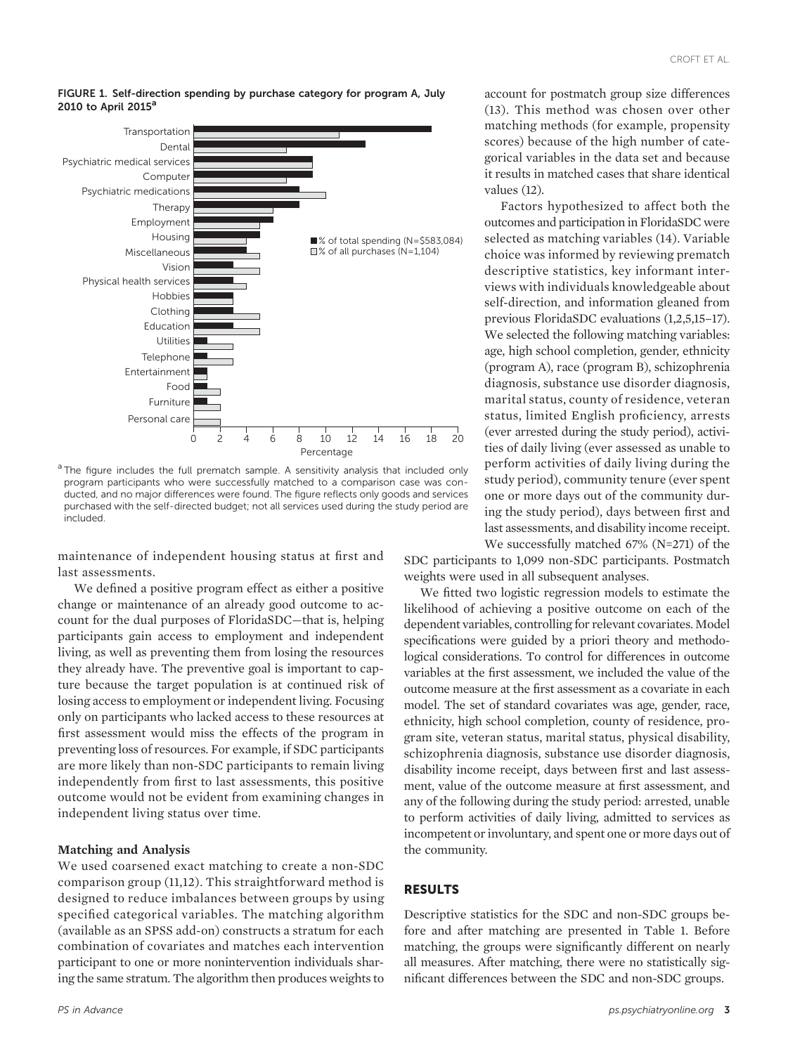#### FIGURE 1. Self-direction spending by purchase category for program A, July 2010 to April 2015<sup>a</sup>



<sup>a</sup> The figure includes the full prematch sample. A sensitivity analysis that included only program participants who were successfully matched to a comparison case was conducted, and no major differences were found. The figure reflects only goods and services purchased with the self-directed budget; not all services used during the study period are included.

maintenance of independent housing status at first and last assessments.

We defined a positive program effect as either a positive change or maintenance of an already good outcome to account for the dual purposes of FloridaSDC—that is, helping participants gain access to employment and independent living, as well as preventing them from losing the resources they already have. The preventive goal is important to capture because the target population is at continued risk of losing access to employment or independent living. Focusing only on participants who lacked access to these resources at first assessment would miss the effects of the program in preventing loss of resources. For example, if SDC participants are more likely than non-SDC participants to remain living independently from first to last assessments, this positive outcome would not be evident from examining changes in independent living status over time.

## Matching and Analysis

We used coarsened exact matching to create a non-SDC comparison group (11,12). This straightforward method is designed to reduce imbalances between groups by using specified categorical variables. The matching algorithm (available as an SPSS add-on) constructs a stratum for each combination of covariates and matches each intervention participant to one or more nonintervention individuals sharing the same stratum. The algorithm then produces weights to

account for postmatch group size differences (13). This method was chosen over other matching methods (for example, propensity scores) because of the high number of categorical variables in the data set and because it results in matched cases that share identical values (12).

Factors hypothesized to affect both the outcomes and participation in FloridaSDC were selected as matching variables (14). Variable choice was informed by reviewing prematch descriptive statistics, key informant interviews with individuals knowledgeable about self-direction, and information gleaned from previous FloridaSDC evaluations (1,2,5,15–17). We selected the following matching variables: age, high school completion, gender, ethnicity (program A), race (program B), schizophrenia diagnosis, substance use disorder diagnosis, marital status, county of residence, veteran status, limited English proficiency, arrests (ever arrested during the study period), activities of daily living (ever assessed as unable to perform activities of daily living during the study period), community tenure (ever spent one or more days out of the community during the study period), days between first and last assessments, and disability income receipt. We successfully matched 67% (N=271) of the

SDC participants to 1,099 non-SDC participants. Postmatch weights were used in all subsequent analyses.

We fitted two logistic regression models to estimate the likelihood of achieving a positive outcome on each of the dependent variables, controlling for relevant covariates. Model specifications were guided by a priori theory and methodological considerations. To control for differences in outcome variables at the first assessment, we included the value of the outcome measure at the first assessment as a covariate in each model. The set of standard covariates was age, gender, race, ethnicity, high school completion, county of residence, program site, veteran status, marital status, physical disability, schizophrenia diagnosis, substance use disorder diagnosis, disability income receipt, days between first and last assessment, value of the outcome measure at first assessment, and any of the following during the study period: arrested, unable to perform activities of daily living, admitted to services as incompetent or involuntary, and spent one or more days out of the community.

## RESULTS

Descriptive statistics for the SDC and non-SDC groups before and after matching are presented in Table 1. Before matching, the groups were significantly different on nearly all measures. After matching, there were no statistically significant differences between the SDC and non-SDC groups.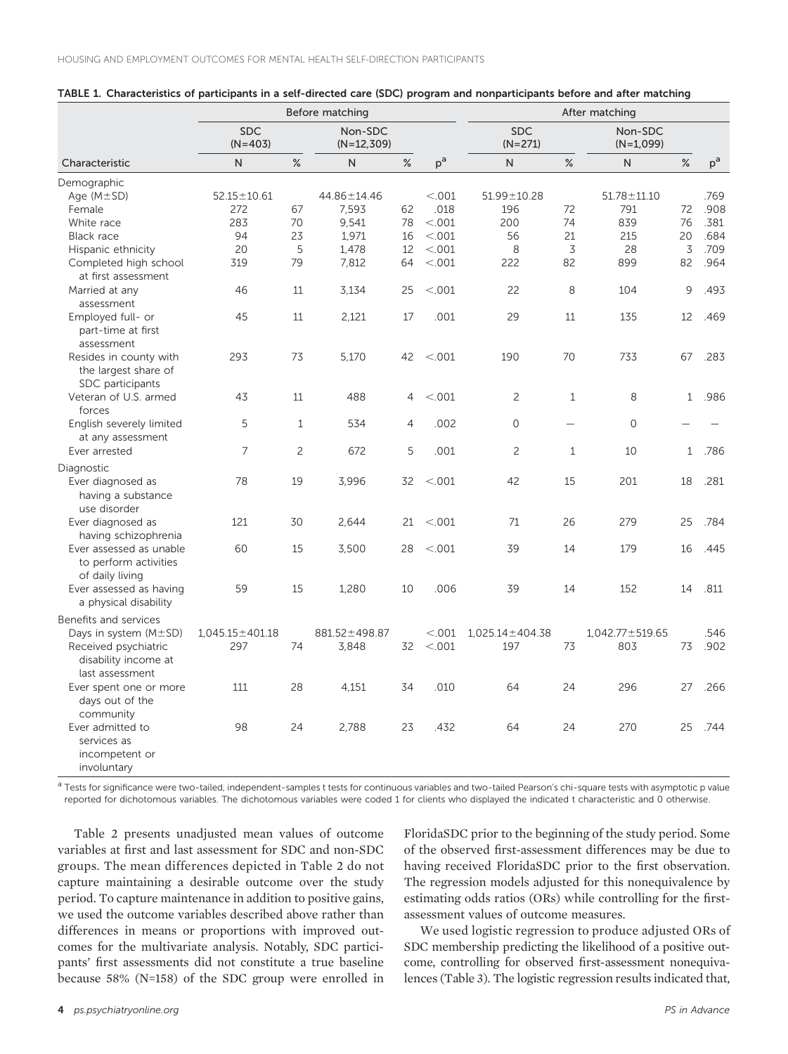|                                            | Before matching         |                |                         |      |                | After matching          |              |                        |              |                |  |
|--------------------------------------------|-------------------------|----------------|-------------------------|------|----------------|-------------------------|--------------|------------------------|--------------|----------------|--|
|                                            | <b>SDC</b><br>$(N=403)$ |                | Non-SDC<br>$(N=12,309)$ |      |                | <b>SDC</b><br>$(N=271)$ |              | Non-SDC<br>$(N=1,099)$ |              |                |  |
| Characteristic                             | N                       | $\%$           | N                       | $\%$ | p <sup>a</sup> | N                       | $\%$         | N                      | $\%$         | $p^{\text{a}}$ |  |
| Demographic                                |                         |                |                         |      |                |                         |              |                        |              |                |  |
| Age $(M \pm SD)$                           | $52.15 \pm 10.61$       |                | 44.86±14.46             |      | < 0.01         | $51.99 \pm 10.28$       |              | $51.78 \pm 11.10$      |              | .769           |  |
| Female                                     | 272                     | 67             | 7,593                   | 62   | .018           | 196                     | 72           | 791                    | 72           | .908           |  |
| White race                                 | 283                     | 70             | 9,541                   | 78   | < 0.01         | 200                     | 74           | 839                    | 76           | .381           |  |
| <b>Black race</b>                          | 94                      | 23             | 1,971                   | 16   | < 0.01         | 56                      | 21           | 215                    | 20           | .684           |  |
| Hispanic ethnicity                         | 20                      | 5              | 1,478                   | 12   | < 0.01         | 8                       | 3            | 28                     | 3            | .709           |  |
| Completed high school                      | 319                     | 79             | 7,812                   | 64   | < 0.01         | 222                     | 82           | 899                    | 82           | .964           |  |
| at first assessment                        |                         |                |                         |      |                |                         |              |                        |              |                |  |
| Married at any                             | 46                      | 11             | 3,134                   | 25   | < 0.001        | 22                      | 8            | 104                    | 9            | .493           |  |
| assessment                                 |                         |                |                         |      |                |                         |              |                        |              |                |  |
| Employed full- or                          | 45                      | 11             | 2,121                   | 17   | .001           | 29                      | 11           | 135                    | 12           | .469           |  |
| part-time at first                         |                         |                |                         |      |                |                         |              |                        |              |                |  |
| assessment                                 |                         |                |                         |      |                |                         |              |                        |              |                |  |
| Resides in county with                     | 293                     | 73             | 5,170                   | 42   | < 0.01         | 190                     | 70           | 733                    | 67           | .283           |  |
| the largest share of                       |                         |                |                         |      |                |                         |              |                        |              |                |  |
| SDC participants                           |                         |                |                         |      |                |                         |              |                        |              |                |  |
| Veteran of U.S. armed                      | 43                      | 11             | 488                     | 4    | < 0.01         | 2                       | 1            | 8                      | $\mathbf{1}$ | .986           |  |
| forces                                     |                         |                |                         |      |                |                         |              |                        |              |                |  |
| English severely limited                   | 5                       | $\mathbf{1}$   | 534                     | 4    | .002           | $\mathbf{O}$            |              | $\mathbf 0$            |              |                |  |
| at any assessment                          |                         |                |                         |      |                |                         |              |                        |              |                |  |
| Ever arrested                              | 7                       | $\overline{c}$ | 672                     | 5    | .001           | $\overline{c}$          | $\mathbf{1}$ | 10                     | $\mathbf{1}$ | .786           |  |
| Diagnostic                                 |                         |                |                         |      |                |                         |              |                        |              |                |  |
| Ever diagnosed as                          | 78                      | 19             | 3,996                   | 32   | < 0.001        | 42                      | 15           | 201                    | 18           | .281           |  |
| having a substance                         |                         |                |                         |      |                |                         |              |                        |              |                |  |
| use disorder                               |                         |                |                         |      |                |                         |              |                        |              |                |  |
| Ever diagnosed as                          | 121                     | 30             | 2,644                   | 21   | < 0.01         | 71                      | 26           | 279                    | 25           | .784           |  |
| having schizophrenia                       |                         |                |                         |      |                |                         |              |                        |              |                |  |
| Ever assessed as unable                    | 60                      | 15             | 3,500                   | 28   | < 0.001        | 39                      | 14           | 179                    | 16           | .445           |  |
| to perform activities                      |                         |                |                         |      |                |                         |              |                        |              |                |  |
|                                            |                         |                |                         |      |                |                         |              |                        |              |                |  |
| of daily living<br>Ever assessed as having | 59                      | 15             | 1,280                   | 10   | .006           | 39                      | 14           | 152                    | 14           | .811           |  |
| a physical disability                      |                         |                |                         |      |                |                         |              |                        |              |                |  |
|                                            |                         |                |                         |      |                |                         |              |                        |              |                |  |
| Benefits and services                      |                         |                |                         |      |                |                         |              |                        |              |                |  |
| Days in system $(M \pm SD)$                | $1,045.15 \pm 401.18$   |                | 881.52±498.87           |      | < 0.01         | $1,025.14 \pm 404.38$   |              | $1,042.77 \pm 519.65$  |              | .546           |  |
| Received psychiatric                       | 297                     | 74             | 3,848                   | 32   | < 0.001        | 197                     | 73           | 803                    | 73           | .902           |  |
| disability income at                       |                         |                |                         |      |                |                         |              |                        |              |                |  |
| last assessment                            |                         |                |                         |      |                |                         |              |                        |              |                |  |
| Ever spent one or more                     | 111                     | 28             | 4,151                   | 34   | .010           | 64                      | 24           | 296                    | 27           | .266           |  |
| days out of the                            |                         |                |                         |      |                |                         |              |                        |              |                |  |
| community                                  |                         |                |                         |      |                |                         |              |                        |              |                |  |
| Ever admitted to                           | 98                      | 24             | 2,788                   | 23   | .432           | 64                      | 24           | 270                    | 25           | .744           |  |
| services as                                |                         |                |                         |      |                |                         |              |                        |              |                |  |
| incompetent or                             |                         |                |                         |      |                |                         |              |                        |              |                |  |
| involuntary                                |                         |                |                         |      |                |                         |              |                        |              |                |  |

|  |  |  |  |  | TABLE 1. Characteristics of participants in a self-directed care (SDC) program and nonparticipants before and after matching |
|--|--|--|--|--|------------------------------------------------------------------------------------------------------------------------------|
|--|--|--|--|--|------------------------------------------------------------------------------------------------------------------------------|

a Tests for significance were two-tailed, independent-samples t tests for continuous variables and two-tailed Pearson's chi-square tests with asymptotic p value reported for dichotomous variables. The dichotomous variables were coded 1 for clients who displayed the indicated t characteristic and 0 otherwise.

Table 2 presents unadjusted mean values of outcome variables at first and last assessment for SDC and non-SDC groups. The mean differences depicted in Table 2 do not capture maintaining a desirable outcome over the study period. To capture maintenance in addition to positive gains, we used the outcome variables described above rather than differences in means or proportions with improved outcomes for the multivariate analysis. Notably, SDC participants' first assessments did not constitute a true baseline because 58% (N=158) of the SDC group were enrolled in

FloridaSDC prior to the beginning of the study period. Some of the observed first-assessment differences may be due to having received FloridaSDC prior to the first observation. The regression models adjusted for this nonequivalence by estimating odds ratios (ORs) while controlling for the firstassessment values of outcome measures.

We used logistic regression to produce adjusted ORs of SDC membership predicting the likelihood of a positive outcome, controlling for observed first-assessment nonequivalences (Table 3). The logistic regression results indicated that,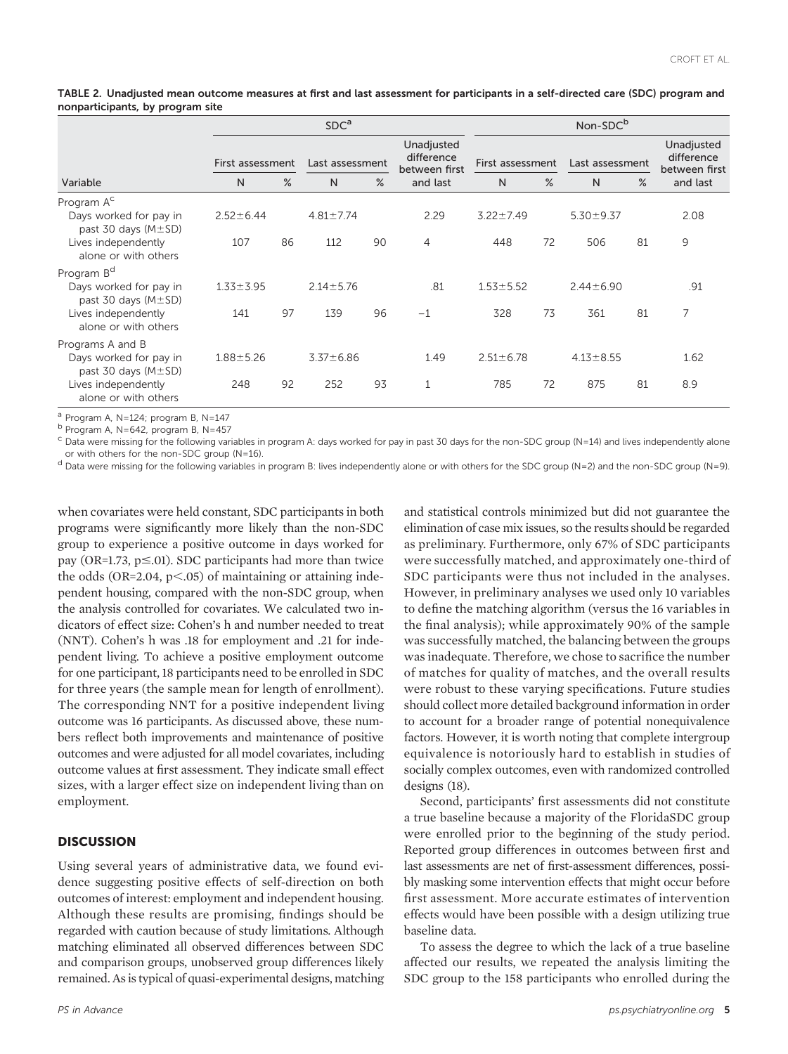|                                                     | SDC <sup>a</sup>                    |      |                 |                          | Non-SDC <sup>b</sup> |                 |                 |                 |                          |                           |
|-----------------------------------------------------|-------------------------------------|------|-----------------|--------------------------|----------------------|-----------------|-----------------|-----------------|--------------------------|---------------------------|
|                                                     | First assessment<br>Last assessment |      |                 | Unadjusted<br>difference | First assessment     |                 | Last assessment |                 | Unadjusted<br>difference |                           |
| Variable                                            | N                                   | $\%$ | N               | between first<br>$\%$    |                      | N<br>$\%$       |                 | $\%$<br>N       |                          | between first<br>and last |
|                                                     |                                     |      |                 |                          | and last             |                 |                 |                 |                          |                           |
| Program A <sup>c</sup>                              |                                     |      |                 |                          |                      |                 |                 |                 |                          |                           |
| Days worked for pay in<br>past 30 days $(M \pm SD)$ | $2.52 \pm 6.44$                     |      | $4.81 \pm 7.74$ |                          | 2.29                 | $3.22 \pm 7.49$ |                 | $5.30 \pm 9.37$ |                          | 2.08                      |
| Lives independently<br>alone or with others         | 107                                 | 86   | 112             | 90                       | 4                    | 448             | 72              | 506             | 81                       | 9                         |
| Program B <sup>d</sup>                              |                                     |      |                 |                          |                      |                 |                 |                 |                          |                           |
| Days worked for pay in<br>past 30 days $(M \pm SD)$ | $1.33 \pm 3.95$                     |      | $2.14 \pm 5.76$ |                          | .81                  | $1.53 \pm 5.52$ |                 | $2.44 \pm 6.90$ |                          | .91                       |
| Lives independently<br>alone or with others         | 141                                 | 97   | 139             | 96                       | $-1$                 | 328             | 73              | 361             | 81                       | 7                         |
| Programs A and B                                    |                                     |      |                 |                          |                      |                 |                 |                 |                          |                           |
| Days worked for pay in<br>past 30 days $(M \pm SD)$ | $1.88 \pm 5.26$                     |      | $3.37 \pm 6.86$ |                          | 1.49                 | $2.51 \pm 6.78$ |                 | $4.13 \pm 8.55$ |                          | 1.62                      |
| Lives independently<br>alone or with others         | 248                                 | 92   | 252             | 93                       | 1                    | 785             | 72              | 875             | 81                       | 8.9                       |

TABLE 2. Unadjusted mean outcome measures at first and last assessment for participants in a self-directed care (SDC) program and nonparticipants, by program site

<sup>a</sup> Program A, N=124; program B, N=147

<sup>b</sup> Program A, N=642, program B, N=457

 $\textdegree$  Data were missing for the following variables in program A: days worked for pay in past 30 days for the non-SDC group (N=14) and lives independently alone or with others for the non-SDC group (N=16).

 $d$  Data were missing for the following variables in program B: lives independently alone or with others for the SDC group (N=2) and the non-SDC group (N=9).

when covariates were held constant, SDC participants in both programs were significantly more likely than the non-SDC group to experience a positive outcome in days worked for pay (OR=1.73,  $p \le 0$ .01). SDC participants had more than twice the odds (OR=2.04,  $p<0.05$ ) of maintaining or attaining independent housing, compared with the non-SDC group, when the analysis controlled for covariates. We calculated two indicators of effect size: Cohen's h and number needed to treat (NNT). Cohen's h was .18 for employment and .21 for independent living. To achieve a positive employment outcome for one participant, 18 participants need to be enrolled in SDC for three years (the sample mean for length of enrollment). The corresponding NNT for a positive independent living outcome was 16 participants. As discussed above, these numbers reflect both improvements and maintenance of positive outcomes and were adjusted for all model covariates, including outcome values at first assessment. They indicate small effect sizes, with a larger effect size on independent living than on employment.

### **DISCUSSION**

Using several years of administrative data, we found evidence suggesting positive effects of self-direction on both outcomes of interest: employment and independent housing. Although these results are promising, findings should be regarded with caution because of study limitations. Although matching eliminated all observed differences between SDC and comparison groups, unobserved group differences likely remained. As is typical of quasi-experimental designs, matching and statistical controls minimized but did not guarantee the elimination of case mix issues, so the results should be regarded as preliminary. Furthermore, only 67% of SDC participants were successfully matched, and approximately one-third of SDC participants were thus not included in the analyses. However, in preliminary analyses we used only 10 variables to define the matching algorithm (versus the 16 variables in the final analysis); while approximately 90% of the sample was successfully matched, the balancing between the groups was inadequate. Therefore, we chose to sacrifice the number of matches for quality of matches, and the overall results were robust to these varying specifications. Future studies should collect more detailed background information in order to account for a broader range of potential nonequivalence factors. However, it is worth noting that complete intergroup equivalence is notoriously hard to establish in studies of socially complex outcomes, even with randomized controlled designs (18).

Second, participants' first assessments did not constitute a true baseline because a majority of the FloridaSDC group were enrolled prior to the beginning of the study period. Reported group differences in outcomes between first and last assessments are net of first-assessment differences, possibly masking some intervention effects that might occur before first assessment. More accurate estimates of intervention effects would have been possible with a design utilizing true baseline data.

To assess the degree to which the lack of a true baseline affected our results, we repeated the analysis limiting the SDC group to the 158 participants who enrolled during the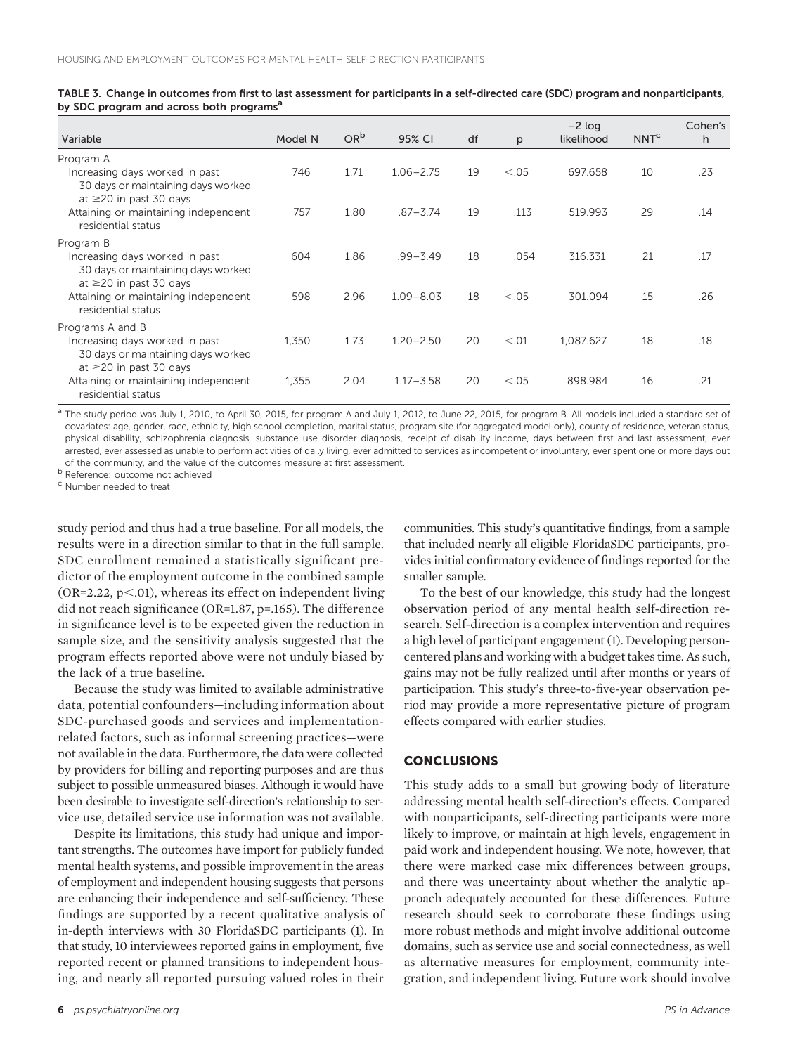| Variable                                                                                             | Model N | OR <sup>b</sup> | 95% CI        | df | p      | $-2$ log<br>likelihood | NNT <sup>c</sup> | Cohen's<br>h. |
|------------------------------------------------------------------------------------------------------|---------|-----------------|---------------|----|--------|------------------------|------------------|---------------|
| Program A                                                                                            |         |                 |               |    |        |                        |                  |               |
| Increasing days worked in past<br>30 days or maintaining days worked<br>at $\geq$ 20 in past 30 days | 746     | 1.71            | $1.06 - 2.75$ | 19 | < 0.05 | 697.658                | 10               | .23           |
| Attaining or maintaining independent<br>residential status                                           | 757     | 1.80            | $.87 - 3.74$  | 19 | .113   | 519.993                | 29               | .14           |
| Program B                                                                                            |         |                 |               |    |        |                        |                  |               |
| Increasing days worked in past<br>30 days or maintaining days worked<br>at $\geq$ 20 in past 30 days | 604     | 1.86            | $.99 - 3.49$  | 18 | .054   | 316.331                | 21               | .17           |
| Attaining or maintaining independent<br>residential status                                           | 598     | 2.96            | $1.09 - 8.03$ | 18 | < 0.05 | 301.094                | 15               | .26           |
| Programs A and B                                                                                     |         |                 |               |    |        |                        |                  |               |
| Increasing days worked in past<br>30 days or maintaining days worked<br>at $\geq$ 20 in past 30 days | 1,350   | 1.73            | $1.20 - 2.50$ | 20 | < 0.01 | 1,087.627              | 18               | .18           |
| Attaining or maintaining independent<br>residential status                                           | 1,355   | 2.04            | $1.17 - 3.58$ | 20 | < 0.05 | 898.984                | 16               | .21           |

| TABLE 3. Change in outcomes from first to last assessment for participants in a self-directed care (SDC) program and nonparticipants, |  |
|---------------------------------------------------------------------------------------------------------------------------------------|--|
| by SDC program and across both programs <sup>a</sup>                                                                                  |  |

<sup>a</sup> The study period was July 1, 2010, to April 30, 2015, for program A and July 1, 2012, to June 22, 2015, for program B. All models included a standard set of covariates: age, gender, race, ethnicity, high school completion, marital status, program site (for aggregated model only), county of residence, veteran status, physical disability, schizophrenia diagnosis, substance use disorder diagnosis, receipt of disability income, days between first and last assessment, ever arrested, ever assessed as unable to perform activities of daily living, ever admitted to services as incompetent or involuntary, ever spent one or more days out of the community, and the value of the outcomes measure at first assessment. b Reference: outcome not achieved

<sup>c</sup> Number needed to treat

study period and thus had a true baseline. For all models, the results were in a direction similar to that in the full sample. SDC enrollment remained a statistically significant predictor of the employment outcome in the combined sample  $(OR=2.22, p<.01)$ , whereas its effect on independent living did not reach significance (OR=1.87, p=.165). The difference in significance level is to be expected given the reduction in sample size, and the sensitivity analysis suggested that the program effects reported above were not unduly biased by the lack of a true baseline.

Because the study was limited to available administrative data, potential confounders—including information about SDC-purchased goods and services and implementationrelated factors, such as informal screening practices—were not available in the data. Furthermore, the data were collected by providers for billing and reporting purposes and are thus subject to possible unmeasured biases. Although it would have been desirable to investigate self-direction's relationship to service use, detailed service use information was not available.

Despite its limitations, this study had unique and important strengths. The outcomes have import for publicly funded mental health systems, and possible improvement in the areas of employment and independent housing suggests that persons are enhancing their independence and self-sufficiency. These findings are supported by a recent qualitative analysis of in-depth interviews with 30 FloridaSDC participants (1). In that study, 10 interviewees reported gains in employment, five reported recent or planned transitions to independent housing, and nearly all reported pursuing valued roles in their communities. This study's quantitative findings, from a sample that included nearly all eligible FloridaSDC participants, provides initial confirmatory evidence of findings reported for the smaller sample.

To the best of our knowledge, this study had the longest observation period of any mental health self-direction research. Self-direction is a complex intervention and requires a high level of participant engagement (1). Developing personcentered plans and working with a budget takes time. As such, gains may not be fully realized until after months or years of participation. This study's three-to-five-year observation period may provide a more representative picture of program effects compared with earlier studies.

## **CONCLUSIONS**

This study adds to a small but growing body of literature addressing mental health self-direction's effects. Compared with nonparticipants, self-directing participants were more likely to improve, or maintain at high levels, engagement in paid work and independent housing. We note, however, that there were marked case mix differences between groups, and there was uncertainty about whether the analytic approach adequately accounted for these differences. Future research should seek to corroborate these findings using more robust methods and might involve additional outcome domains, such as service use and social connectedness, as well as alternative measures for employment, community integration, and independent living. Future work should involve